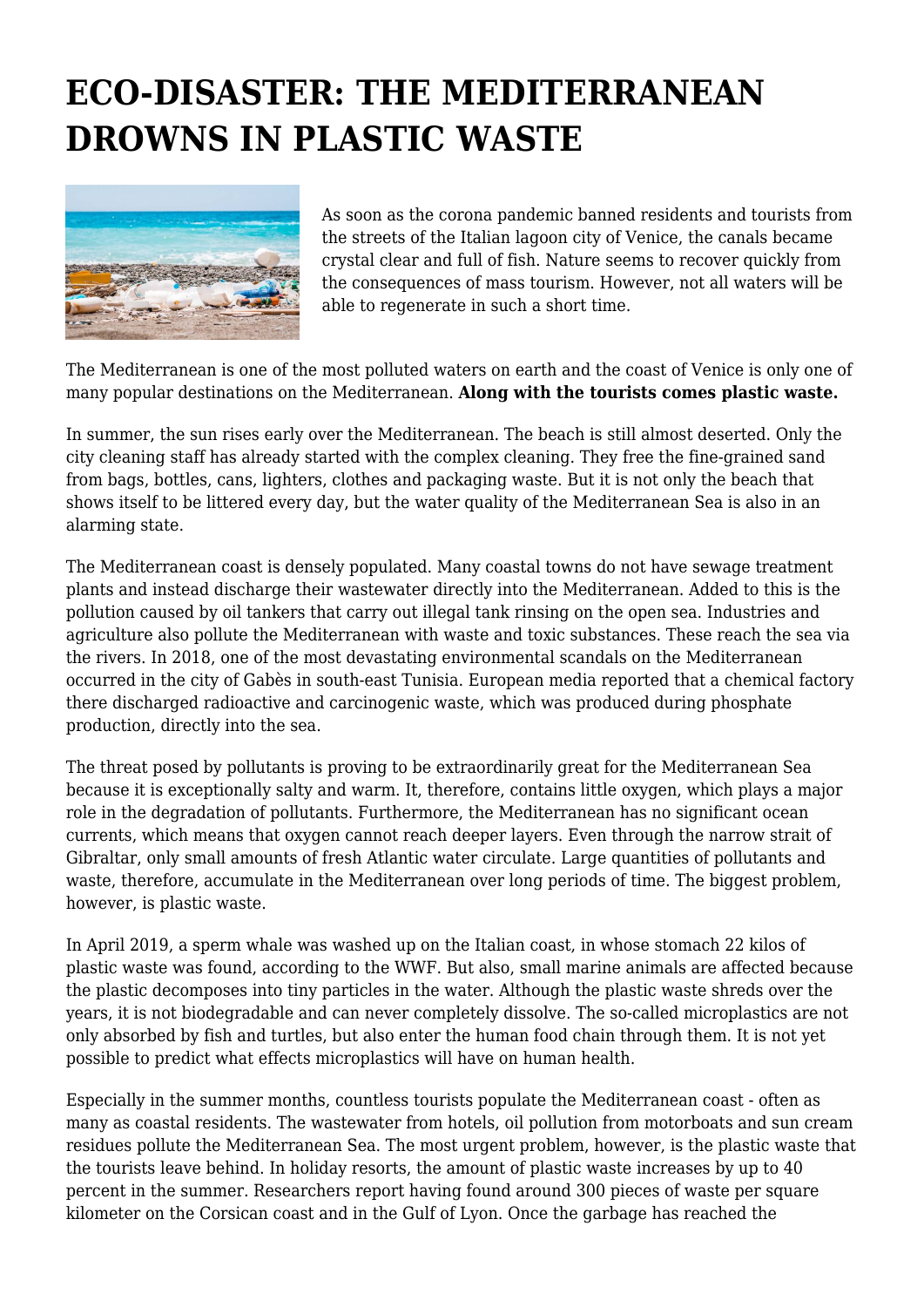## **ECO-DISASTER: THE MEDITERRANEAN DROWNS IN PLASTIC WASTE**



As soon as the corona pandemic banned residents and tourists from the streets of the Italian lagoon city of Venice, the canals became crystal clear and full of fish. Nature seems to recover quickly from the consequences of mass tourism. However, not all waters will be able to regenerate in such a short time.

The Mediterranean is one of the most polluted waters on earth and the coast of Venice is only one of many popular destinations on the Mediterranean. **Along with the tourists comes plastic waste.**

In summer, the sun rises early over the Mediterranean. The beach is still almost deserted. Only the city cleaning staff has already started with the complex cleaning. They free the fine-grained sand from bags, bottles, cans, lighters, clothes and packaging waste. But it is not only the beach that shows itself to be littered every day, but the water quality of the Mediterranean Sea is also in an alarming state.

The Mediterranean coast is densely populated. Many coastal towns do not have sewage treatment plants and instead discharge their wastewater directly into the Mediterranean. Added to this is the pollution caused by oil tankers that carry out illegal tank rinsing on the open sea. Industries and agriculture also pollute the Mediterranean with waste and toxic substances. These reach the sea via the rivers. In 2018, one of the most devastating environmental scandals on the Mediterranean occurred in the city of Gabès in south-east Tunisia. European media reported that a chemical factory there discharged radioactive and carcinogenic waste, which was produced during phosphate production, directly into the sea.

The threat posed by pollutants is proving to be extraordinarily great for the Mediterranean Sea because it is exceptionally salty and warm. It, therefore, contains little oxygen, which plays a major role in the degradation of pollutants. Furthermore, the Mediterranean has no significant ocean currents, which means that oxygen cannot reach deeper layers. Even through the narrow strait of Gibraltar, only small amounts of fresh Atlantic water circulate. Large quantities of pollutants and waste, therefore, accumulate in the Mediterranean over long periods of time. The biggest problem, however, is plastic waste.

In April 2019, a sperm whale was washed up on the Italian coast, in whose stomach 22 kilos of plastic waste was found, according to the WWF. But also, small marine animals are affected because the plastic decomposes into tiny particles in the water. Although the plastic waste shreds over the years, it is not biodegradable and can never completely dissolve. The so-called microplastics are not only absorbed by fish and turtles, but also enter the human food chain through them. It is not yet possible to predict what effects microplastics will have on human health.

Especially in the summer months, countless tourists populate the Mediterranean coast - often as many as coastal residents. The wastewater from hotels, oil pollution from motorboats and sun cream residues pollute the Mediterranean Sea. The most urgent problem, however, is the plastic waste that the tourists leave behind. In holiday resorts, the amount of plastic waste increases by up to 40 percent in the summer. Researchers report having found around 300 pieces of waste per square kilometer on the Corsican coast and in the Gulf of Lyon. Once the garbage has reached the